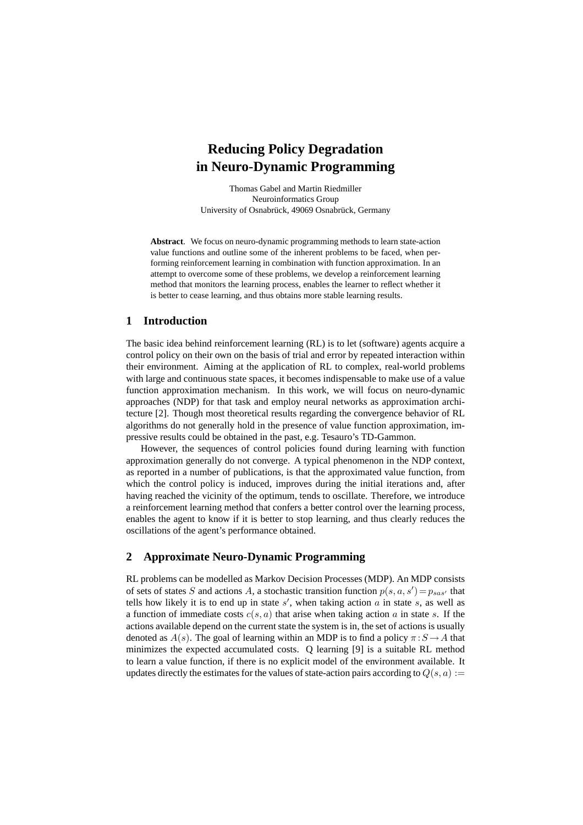# **Reducing Policy Degradation in Neuro-Dynamic Programming**

Thomas Gabel and Martin Riedmiller Neuroinformatics Group University of Osnabrück, 49069 Osnabrück, Germany

**Abstract**. We focus on neuro-dynamic programming methods to learn state-action value functions and outline some of the inherent problems to be faced, when performing reinforcement learning in combination with function approximation. In an attempt to overcome some of these problems, we develop a reinforcement learning method that monitors the learning process, enables the learner to reflect whether it is better to cease learning, and thus obtains more stable learning results.

### **1 Introduction**

The basic idea behind reinforcement learning (RL) is to let (software) agents acquire a control policy on their own on the basis of trial and error by repeated interaction within their environment. Aiming at the application of RL to complex, real-world problems with large and continuous state spaces, it becomes indispensable to make use of a value function approximation mechanism. In this work, we will focus on neuro-dynamic approaches (NDP) for that task and employ neural networks as approximation architecture [2]. Though most theoretical results regarding the convergence behavior of RL algorithms do not generally hold in the presence of value function approximation, impressive results could be obtained in the past, e.g. Tesauro's TD-Gammon.

However, the sequences of control policies found during learning with function approximation generally do not converge. A typical phenomenon in the NDP context, as reported in a number of publications, is that the approximated value function, from which the control policy is induced, improves during the initial iterations and, after having reached the vicinity of the optimum, tends to oscillate. Therefore, we introduce a reinforcement learning method that confers a better control over the learning process, enables the agent to know if it is better to stop learning, and thus clearly reduces the oscillations of the agent's performance obtained.

# **2 Approximate Neuro-Dynamic Programming**

RL problems can be modelled as Markov Decision Processes (MDP). An MDP consists of sets of states S and actions A, a stochastic transition function  $p(s, a, s') = p_{sas'}$  that tells how likely it is to end up in state  $s'$ , when taking action  $a$  in state  $s$ , as well as a function of immediate costs  $c(s, a)$  that arise when taking action a in state s. If the actions available depend on the current state the system is in, the set of actions is usually denoted as  $A(s)$ . The goal of learning within an MDP is to find a policy  $\pi : S \to A$  that minimizes the expected accumulated costs. Q learning [9] is a suitable RL method to learn a value function, if there is no explicit model of the environment available. It updates directly the estimates for the values of state-action pairs according to  $Q(s, a) :=$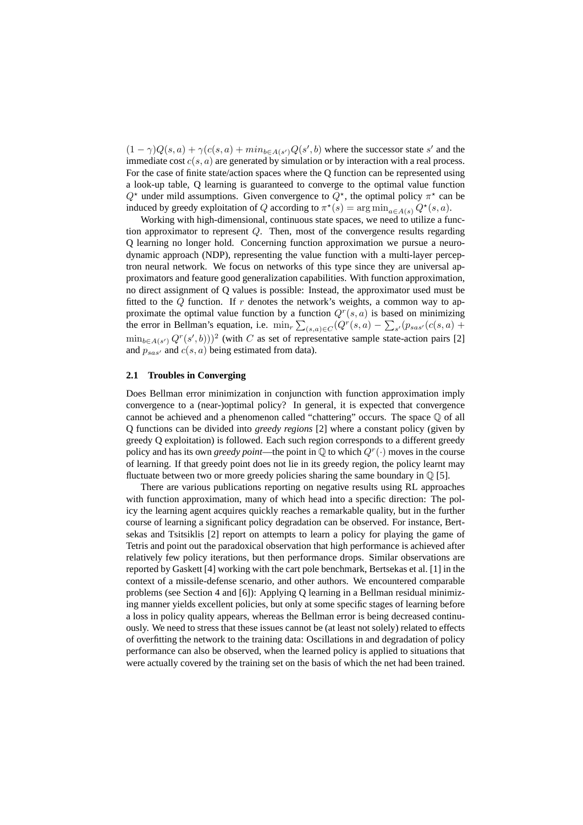$(1 - \gamma)Q(s, a) + \gamma(c(s, a) + min_{b \in A(s')}Q(s', b))$  where the successor state s' and the immediate cost  $c(s, a)$  are generated by simulation or by interaction with a real process. For the case of finite state/action spaces where the Q function can be represented using a look-up table, Q learning is guaranteed to converge to the optimal value function  $Q^*$  under mild assumptions. Given convergence to  $Q^*$ , the optimal policy  $\pi^*$  can be induced by greedy exploitation of Q according to  $\pi^*(s) = \arg \min_{a \in A(s)} Q^*(s, a)$ .

Working with high-dimensional, continuous state spaces, we need to utilize a function approximator to represent Q. Then, most of the convergence results regarding Q learning no longer hold. Concerning function approximation we pursue a neurodynamic approach (NDP), representing the value function with a multi-layer perceptron neural network. We focus on networks of this type since they are universal approximators and feature good generalization capabilities. With function approximation, no direct assignment of Q values is possible: Instead, the approximator used must be fitted to the  $Q$  function. If r denotes the network's weights, a common way to approximate the optimal value function by a function  $Q^r(s, a)$  is based on minimizing the error in Bellman's equation, i.e.  $\min_{r} \sum_{(s,a) \in C} (Q^r(s, a) - \sum_{s'} (p_{sas'}(c(s, a) +$  $\min_{b \in A(s')} Q^r(s', b))$ <sup>2</sup> (with C as set of representative sample state-action pairs [2] and  $p_{sas'}$  and  $c(s, a)$  being estimated from data).

#### **2.1 Troubles in Converging**

Does Bellman error minimization in conjunction with function approximation imply convergence to a (near-)optimal policy? In general, it is expected that convergence cannot be achieved and a phenomenon called "chattering" occurs. The space Q of all Q functions can be divided into *greedy regions* [2] where a constant policy (given by greedy Q exploitation) is followed. Each such region corresponds to a different greedy policy and has its own *greedy point*—the point in  $\mathbb Q$  to which  $Q^r(\cdot)$  moves in the course of learning. If that greedy point does not lie in its greedy region, the policy learnt may fluctuate between two or more greedy policies sharing the same boundary in  $\mathbb{Q}$  [5].

There are various publications reporting on negative results using RL approaches with function approximation, many of which head into a specific direction: The policy the learning agent acquires quickly reaches a remarkable quality, but in the further course of learning a significant policy degradation can be observed. For instance, Bertsekas and Tsitsiklis [2] report on attempts to learn a policy for playing the game of Tetris and point out the paradoxical observation that high performance is achieved after relatively few policy iterations, but then performance drops. Similar observations are reported by Gaskett [4] working with the cart pole benchmark, Bertsekas et al. [1] in the context of a missile-defense scenario, and other authors. We encountered comparable problems (see Section 4 and [6]): Applying Q learning in a Bellman residual minimizing manner yields excellent policies, but only at some specific stages of learning before a loss in policy quality appears, whereas the Bellman error is being decreased continuously. We need to stress that these issues cannot be (at least not solely) related to effects of overfitting the network to the training data: Oscillations in and degradation of policy performance can also be observed, when the learned policy is applied to situations that were actually covered by the training set on the basis of which the net had been trained.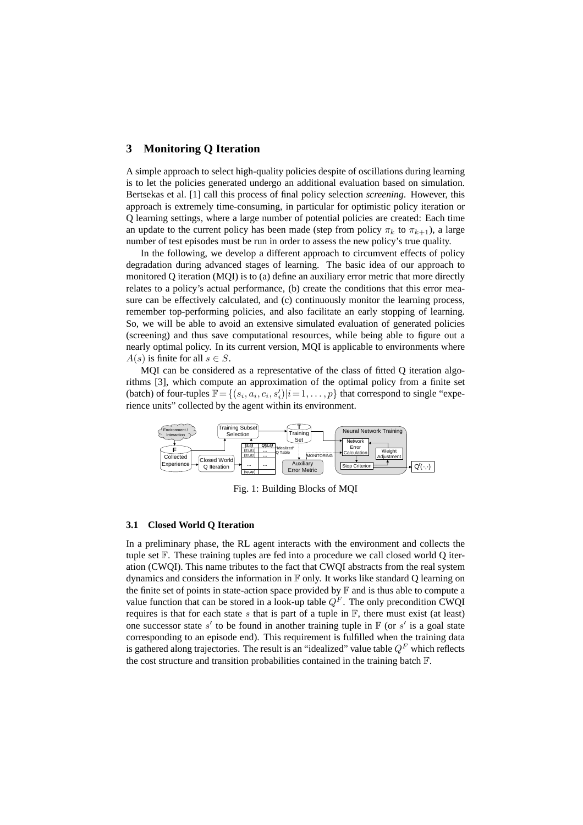# **3 Monitoring Q Iteration**

A simple approach to select high-quality policies despite of oscillations during learning is to let the policies generated undergo an additional evaluation based on simulation. Bertsekas et al. [1] call this process of final policy selection *screening*. However, this approach is extremely time-consuming, in particular for optimistic policy iteration or Q learning settings, where a large number of potential policies are created: Each time an update to the current policy has been made (step from policy  $\pi_k$  to  $\pi_{k+1}$ ), a large number of test episodes must be run in order to assess the new policy's true quality.

In the following, we develop a different approach to circumvent effects of policy degradation during advanced stages of learning. The basic idea of our approach to monitored Q iteration (MQI) is to (a) define an auxiliary error metric that more directly relates to a policy's actual performance, (b) create the conditions that this error measure can be effectively calculated, and (c) continuously monitor the learning process, remember top-performing policies, and also facilitate an early stopping of learning. So, we will be able to avoid an extensive simulated evaluation of generated policies (screening) and thus save computational resources, while being able to figure out a nearly optimal policy. In its current version, MQI is applicable to environments where  $A(s)$  is finite for all  $s \in S$ .

MQI can be considered as a representative of the class of fitted Q iteration algorithms [3], which compute an approximation of the optimal policy from a finite set (batch) of four-tuples  $\mathbb{F} = \{(s_i, a_i, c_i, s'_i) | i = 1, \dots, p\}$  that correspond to single "experience units" collected by the agent within its environment.



Fig. 1: Building Blocks of MQI

#### **3.1 Closed World Q Iteration**

In a preliminary phase, the RL agent interacts with the environment and collects the tuple set  $\mathbb F$ . These training tuples are fed into a procedure we call closed world Q iteration (CWQI). This name tributes to the fact that CWQI abstracts from the real system dynamics and considers the information in  $\mathbb F$  only. It works like standard Q learning on the finite set of points in state-action space provided by  $\mathbb F$  and is thus able to compute a value function that can be stored in a look-up table  $Q<sup>F</sup>$ . The only precondition CWQI requires is that for each state s that is part of a tuple in  $\mathbb{F}$ , there must exist (at least) one successor state s' to be found in another training tuple in  $\mathbb F$  (or s' is a goal state corresponding to an episode end). This requirement is fulfilled when the training data is gathered along trajectories. The result is an "idealized" value table  $Q<sup>F</sup>$  which reflects the cost structure and transition probabilities contained in the training batch F.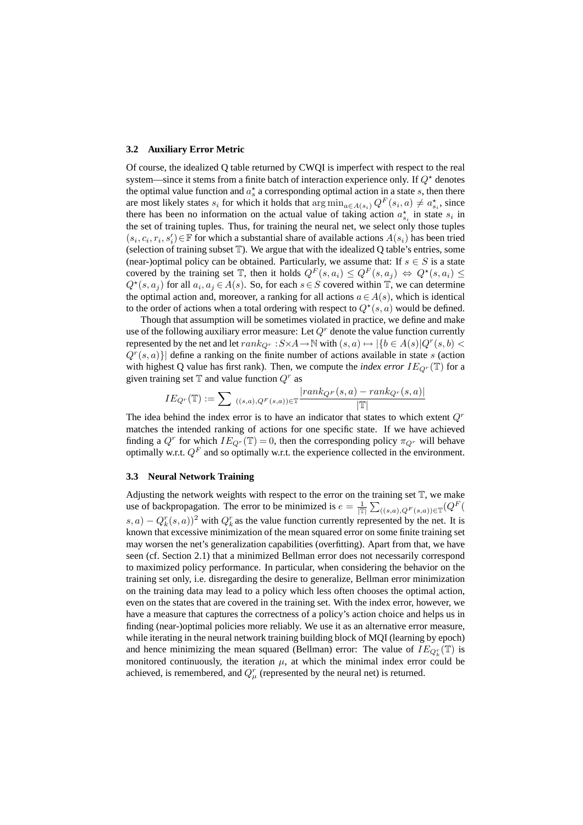#### **3.2 Auxiliary Error Metric**

Of course, the idealized Q table returned by CWQI is imperfect with respect to the real system—since it stems from a finite batch of interaction experience only. If  $Q^*$  denotes the optimal value function and  $a_s^*$  a corresponding optimal action in a state s, then there are most likely states  $s_i$  for which it holds that  $\arg \min_{a \in A(s_i)} Q^F(s_i, a) \neq a_{s_i}^{\star}$ , since there has been no information on the actual value of taking action  $a_{s_i}^{\star}$  in state  $s_i$  in the set of training tuples. Thus, for training the neural net, we select only those tuples  $(s_i, c_i, r_i, s'_i) \in \mathbb{F}$  for which a substantial share of available actions  $A(s_i)$  has been tried (selection of training subset  $\mathbb T$ ). We argue that with the idealized Q table's entries, some (near-)optimal policy can be obtained. Particularly, we assume that: If  $s \in S$  is a state covered by the training set  $\mathbb T$ , then it holds  $Q^F(s, a_i) \leq Q^F(s, a_j) \Leftrightarrow Q^{\star}(s, a_i) \leq$  $Q^*(s, a_j)$  for all  $a_i, a_j \in A(s)$ . So, for each  $s \in S$  covered within  $\mathbb{T}$ , we can determine the optimal action and, moreover, a ranking for all actions  $a \in A(s)$ , which is identical to the order of actions when a total ordering with respect to  $Q^*(s, a)$  would be defined.

Though that assumption will be sometimes violated in practice, we define and make use of the following auxiliary error measure: Let  $Q<sup>r</sup>$  denote the value function currently represented by the net and let  $rank_{Q^r}: S \times A \to \mathbb{N}$  with  $(s, a) \mapsto |\{b \in A(s)|Q^r(s, b) \leq b\}$  $Q^{r}(s, a)$ } define a ranking on the finite number of actions available in state s (action with highest Q value has first rank). Then, we compute the *index error*  $IE_{Qr}(\mathbb{T})$  for a given training set  $\mathbb T$  and value function  $Q^r$  as

$$
IE_{Q^r}(\mathbb{T}) := \sum_{((s,a), Q^F(s,a)) \in \mathbb{T}} \frac{|rank_{Q^F}(s,a) - rank_{Q^r}(s,a)|}{|\mathbb{T}|}
$$

The idea behind the index error is to have an indicator that states to which extent  $Q<sup>r</sup>$ matches the intended ranking of actions for one specific state. If we have achieved finding a  $Q^r$  for which  $IE_{Q^r}(\mathbb{T}) = 0$ , then the corresponding policy  $\pi_{Q^r}$  will behave optimally w.r.t.  $Q^F$  and so optimally w.r.t. the experience collected in the environment.

### **3.3 Neural Network Training**

Adjusting the network weights with respect to the error on the training set  $\mathbb T$ , we make use of backpropagation. The error to be minimized is  $e = \frac{1}{|\mathbb{T}|} \sum_{((s,a),Q^F(s,a)) \in \mathbb{T}} (Q^F(s,a))$  $(s, a) - Q_k^r(s, a)$ <sup>2</sup> with  $Q_k^r$  as the value function currently represented by the net. It is known that excessive minimization of the mean squared error on some finite training set may worsen the net's generalization capabilities (overfitting). Apart from that, we have seen (cf. Section 2.1) that a minimized Bellman error does not necessarily correspond to maximized policy performance. In particular, when considering the behavior on the training set only, i.e. disregarding the desire to generalize, Bellman error minimization on the training data may lead to a policy which less often chooses the optimal action, even on the states that are covered in the training set. With the index error, however, we have a measure that captures the correctness of a policy's action choice and helps us in finding (near-)optimal policies more reliably. We use it as an alternative error measure, while iterating in the neural network training building block of MQI (learning by epoch) and hence minimizing the mean squared (Bellman) error: The value of  $IE_{Q_k^r}(\mathbb{T})$  is monitored continuously, the iteration  $\mu$ , at which the minimal index error could be achieved, is remembered, and  $Q_{\mu}^{r}$  (represented by the neural net) is returned.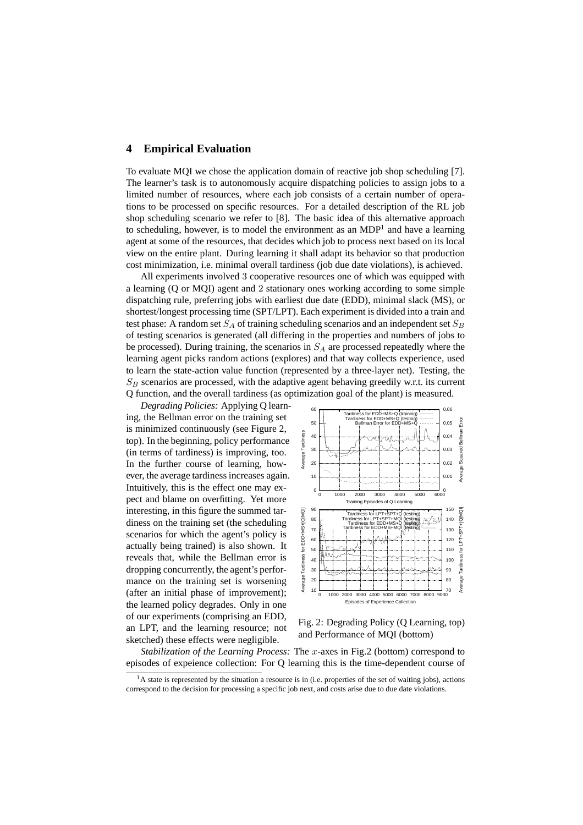# **4 Empirical Evaluation**

To evaluate MQI we chose the application domain of reactive job shop scheduling [7]. The learner's task is to autonomously acquire dispatching policies to assign jobs to a limited number of resources, where each job consists of a certain number of operations to be processed on specific resources. For a detailed description of the RL job shop scheduling scenario we refer to [8]. The basic idea of this alternative approach to scheduling, however, is to model the environment as an  $MDP<sup>1</sup>$  and have a learning agent at some of the resources, that decides which job to process next based on its local view on the entire plant. During learning it shall adapt its behavior so that production cost minimization, i.e. minimal overall tardiness (job due date violations), is achieved.

All experiments involved 3 cooperative resources one of which was equipped with a learning (Q or MQI) agent and 2 stationary ones working according to some simple dispatching rule, preferring jobs with earliest due date (EDD), minimal slack (MS), or shortest/longest processing time (SPT/LPT). Each experiment is divided into a train and test phase: A random set  $S_A$  of training scheduling scenarios and an independent set  $S_B$ of testing scenarios is generated (all differing in the properties and numbers of jobs to be processed). During training, the scenarios in  $S_A$  are processed repeatedly where the learning agent picks random actions (explores) and that way collects experience, used to learn the state-action value function (represented by a three-layer net). Testing, the  $S_B$  scenarios are processed, with the adaptive agent behaving greedily w.r.t. its current Q function, and the overall tardiness (as optimization goal of the plant) is measured.

*Degrading Policies:* Applying Q learn ing, the Bellman error on the training set is minimized continuously (see Figure 2, top). In the beginning, policy performance (in terms of tardiness) is improving, too. In the further course of learning, however, the average tardiness increases again. Intuitively, this is the effect one may expect and blame on overfitting. Yet more interesting, in this figure the summed tardiness on the training set (the scheduling scenarios for which the agent's policy is actually being trained) is also shown. It reveals that, while the Bellman error is dropping concurrently, the agent's performance on the training set is worsening (after an initial phase of improvement); the learned policy degrades. Only in one of our experiments (comprising an EDD, an LPT, and the learning resource; not sketched) these effects were negligible.



Fig. 2: Degrading Policy (Q Learning, top) and Performance of MQI (bottom)

*Stabilization of the Learning Process:* The x-axes in Fig.2 (bottom) correspond to episodes of expeience collection: For Q learning this is the time-dependent course of

<sup>&</sup>lt;sup>1</sup>A state is represented by the situation a resource is in (i.e. properties of the set of waiting jobs), actions correspond to the decision for processing a specific job next, and costs arise due to due date violations.